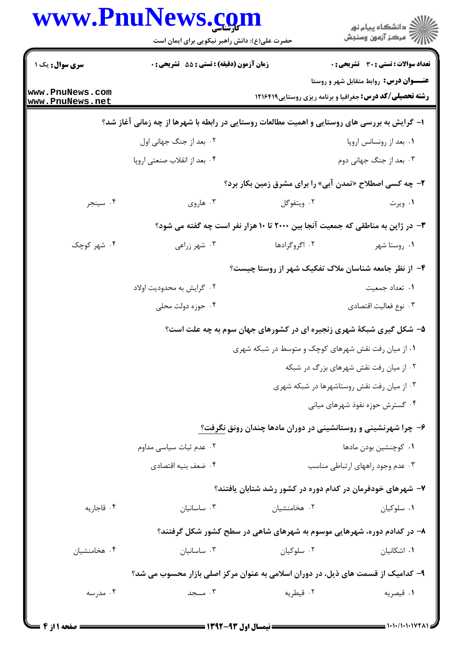|                                    | www.PnuNews.com                                                                              |                                                                                | ر<br>دانشڪاه پيام نور<br>ا∛ مرکز آزمون وسنڊش                                                              |
|------------------------------------|----------------------------------------------------------------------------------------------|--------------------------------------------------------------------------------|-----------------------------------------------------------------------------------------------------------|
|                                    | حضرت علی(ع): دانش راهبر نیکویی برای ایمان است                                                |                                                                                |                                                                                                           |
| سری سوال: یک ۱                     | زمان آزمون (دقیقه) : تستی : 55 آتشریحی : 0                                                   |                                                                                | <b>تعداد سوالات : تستی : 30 ٪ تشریحی : 0</b>                                                              |
| www.PnuNews.com<br>www.PnuNews.net |                                                                                              |                                                                                | عنـــوان درس: روابط متقابل شهر و روستا<br><b>رشته تحصیلی/کد درس:</b> جغرافیا و برنامه ریزی روستایی1۲۱۶۴۱۹ |
|                                    | ۱– گرایش به بررسی های روستایی و اهمیت مطالعات روستایی در رابطه با شهرها از چه زمانی آغاز شد؟ |                                                                                |                                                                                                           |
|                                    | ۰۲ بعد از جنگ جهانی اول                                                                      |                                                                                | ٠١. بعد از رونسانس اروپا                                                                                  |
|                                    | ۰۴ بعد از انقلاب صنعتي اروپا                                                                 |                                                                                | ۰۳ بعد از جنگ جهانی دوم                                                                                   |
|                                    |                                                                                              | ۲- چه کسی اصطلاح «تمدن آبی» را برای مشرق زمین بکار برد؟                        |                                                                                                           |
| ۰۴ سينجر                           | ۰۳ هاروي                                                                                     | ۰۲ ویتفوگل                                                                     | ۰۱ ویرت                                                                                                   |
|                                    |                                                                                              | ۳- در ژاپن به مناطقی که جمعیت آنجا بین ۲۰۰۰ تا ۱۰ هزار نفر است چه گفته می شود؟ |                                                                                                           |
| ۰۴ شهر کوچک                        | ۰۳ شهر زراعی                                                                                 | ۰۲ اگروگرادها                                                                  | ۰۱ روستا شهر                                                                                              |
|                                    |                                                                                              | ۴– از نظر جامعه شناسان ملاک تفکیک شهر از روستا چیست؟                           |                                                                                                           |
|                                    | ۰۲ گرایش به محدودیت اولاد                                                                    |                                                                                | ٠١. تعداد جمعيت                                                                                           |
|                                    | ۰۴ حوزه دولت محلی                                                                            |                                                                                | ۰۳ نوع فعاليت اقتصادي                                                                                     |
|                                    |                                                                                              | ۵- شکل گیری شبکهٔ شهری زنجیره ای در کشورهای جهان سوم به چه علت است؟            |                                                                                                           |
|                                    |                                                                                              | ۰۱ از میان رفت نقش شهرهای کوچک و متوسط در شبکه شهری                            |                                                                                                           |
|                                    |                                                                                              |                                                                                | ۰۲ از میان رفت نقش شهرهای بزرگ در شبکه                                                                    |
|                                    |                                                                                              |                                                                                | ۰۳ از میان رفت نقش روستاشهرها در شبکه شهری                                                                |
|                                    |                                                                                              |                                                                                | ۰۴ گسترش حوزه نفوذ شهرهای میانی                                                                           |
|                                    |                                                                                              | ۶- چرا شهرنشینی و روستانشینی در دوران مادها چندان رونق نگرفت؟                  |                                                                                                           |
|                                    | ٠٢ عدم ثبات سياسي مداوم                                                                      |                                                                                | ۰۱ کوچنشین بودن مادها                                                                                     |
|                                    | ۰۴ ضعف بنيه اقتصادي                                                                          |                                                                                | ۰۳ عدم وجود راههای ارتباطی مناسب                                                                          |
|                                    |                                                                                              | ۷– شهرهای خودفرمان در کدام دوره در کشور رشد شتابان یافتند؟                     |                                                                                                           |
| ۰۴ قاجاريه                         | ۰۳ ساسانیان                                                                                  | ۰۲ هخامنشیان                                                                   | ۰۱ سلوکیان                                                                                                |
|                                    |                                                                                              | ۸– در کدادم دوره، شهرهایی موسوم به شهرهای شاهی در سطح کشور شکل گرفتند؟         |                                                                                                           |
| ۰۴ هخامنشیان                       | ۰۳ ساسانیان                                                                                  | ۰۲ سلوکیان                                                                     | ۰۱ اشکانیان                                                                                               |
|                                    | ۹– کدامیک از قسمت های ذیل، در دوران اسلامی به عنوان مرکز اصلی بازار محسوب می شد؟             |                                                                                |                                                                                                           |
| ۰۴ مدرسه                           | ۰۳ مسجد                                                                                      | ۰۲ قیطریه                                                                      | ۰۱ قیصریه                                                                                                 |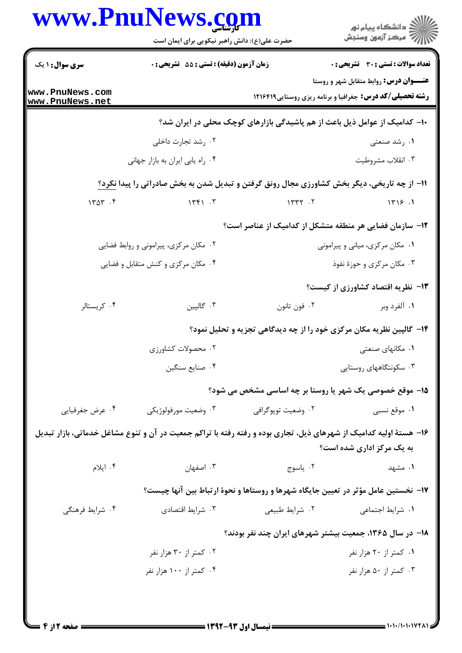|                                    | حضرت علی(ع): دانش راهبر نیکویی برای ایمان است    | www.PnuNews.co                                                                                                     | ڪ دانشڪاه پيام نور<br>√ مرڪز آزمون وسنڊش      |  |
|------------------------------------|--------------------------------------------------|--------------------------------------------------------------------------------------------------------------------|-----------------------------------------------|--|
| <b>سری سوال : ۱ یک</b>             | <b>زمان آزمون (دقیقه) : تستی : 55 تشریحی : 0</b> |                                                                                                                    | <b>تعداد سوالات : تستی : 30 ٪ تشریحی : 0</b>  |  |
| www.PnuNews.com<br>www.PnuNews.net |                                                  | <b>رشته تحصیلی/کد درس:</b> جغرافیا و برنامه ریزی روستایی ۱۲۱۶۴۱۹                                                   | <b>عنـــوان درس:</b> روابط متقابل شهر و روستا |  |
|                                    |                                                  | ∙ا− کدامیک از عوامل ذیل باعث از هم پاشیدگی بازارهای کوچک محلی در ایران شد؟                                         |                                               |  |
|                                    | ۰۲ رشد تجارت داخلی                               |                                                                                                                    | ۰۱ رشد صنعتی                                  |  |
|                                    | ۰۴ راه يابي ايران به بازار جهاني                 |                                                                                                                    | ۰۳ انقلاب مشروطيت                             |  |
|                                    |                                                  | 11- از چه تاریخی، دیگر بخش کشاورزی مجال رونق گرفتن و تبدیل شدن به بخش صادراتی را پیدا نکرد؟                        |                                               |  |
| 1404.5                             | 1561.5                                           | 11777.7                                                                                                            | 1719.1                                        |  |
|                                    |                                                  | ۱۲- سازمان فضایی هر منطقه متشکل از کدامیک از عناصر است؟                                                            |                                               |  |
|                                    | ۰۲ مکان مرکزی، پیرامونی و روابط فضایی            |                                                                                                                    | ۰۱ مکان مرکزی، میانی و پیرامونی               |  |
|                                    | ۰۴ مکان مرکزی و کنش متقابل و فضایی               |                                                                                                                    | ۰۳ مکان مرکزی و حوزهٔ نفوذ                    |  |
|                                    |                                                  |                                                                                                                    | <b>۱۳</b> - نظریه اقتصاد کشاورزی از کیست؟     |  |
| ۰۴ کریستالر                        | ۰۳ گالپین                                        | ۰۲ فون تانون                                                                                                       | ۰۱ آلفرد وبر                                  |  |
|                                    |                                                  | ۱۴- گالپین نظریه مکان مرکزی خود را از چه دیدگاهی تجزیه و تحلیل نمود؟                                               |                                               |  |
|                                    | ۰۲ محصولات کشاورزی                               |                                                                                                                    | ۰۱ مکانهای صنعتی                              |  |
|                                    | ۰۴ صنايع سنگين                                   |                                                                                                                    | ۰۳ سکونتگاههای روستایی                        |  |
|                                    |                                                  | 15- موقع خصوصی یک شهر یا روستا بر چه اساسی مشخص می شود؟                                                            |                                               |  |
| ۰۴ عرض جغرفيايي                    | ۰۳ وضعیت مورفولوژیکی                             | ۰۲ وضعیت توپوگرافی                                                                                                 | ۰۱ موقع نسبي                                  |  |
|                                    |                                                  | ۱۶– هستهٔ اولیه کدامیک از شهرهای ذیل، تجاری بوده و رفته رفته با تراکم جمعیت در آن و تنوع مشاغل خدماتی، بازار تبدیل |                                               |  |
|                                    |                                                  |                                                                                                                    | به یک مرکز اداری شده است؟                     |  |
| ۰۴ ایلام                           | ۰۳ اصفهان                                        | ۰۲ ياسوج                                                                                                           | ۰۱ مشهد                                       |  |
|                                    |                                                  | ۱۷- نخستین عامل مؤثر در تعیین جایگاه شهرها و روستاها و نحوهٔ ارتباط بین آنها چیست؟                                 |                                               |  |
| ۰۴ شرایط فرهنگی                    | ۰۳ شرایط اقتصادی                                 | ۰۲ شرایط طبیعی                                                                                                     | ۰۱ شرایط اجتماعی                              |  |
|                                    |                                                  | ۱۸– در سال ۱۳۶۵، جمعیت بیشتر شهرهای ایران چند نفر بودند؟                                                           |                                               |  |
|                                    | ۰۲ کمتر از ۳۰ هزار نفر                           |                                                                                                                    | ۰۱ کمتر از ۲۰ هزار نفر                        |  |
|                                    | ۰۴ کمتر از ۱۰۰ هزار نفر                          |                                                                                                                    | ۰۳ کمتر از ۵۰ هزار نفر                        |  |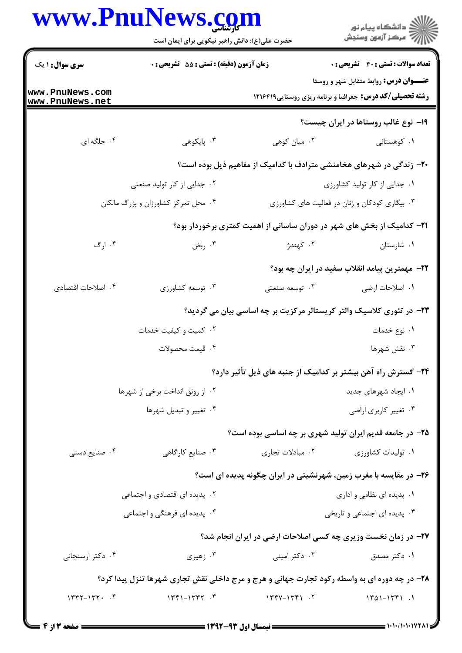|                                    | www.PnuNews.com<br>حضرت علی(ع): دانش راهبر نیکویی برای ایمان است                             |                                                                                | ڪ دانشڪاه پيام نور<br>ر∕⊂ مرڪز آزمون وسنڊش                                                                       |
|------------------------------------|----------------------------------------------------------------------------------------------|--------------------------------------------------------------------------------|------------------------------------------------------------------------------------------------------------------|
| <b>سری سوال : ۱ یک</b>             | زمان آزمون (دقیقه) : تستی : 55 آتشریحی : 0                                                   |                                                                                | <b>تعداد سوالات : تستی : 30 ٪ تشریحی : 0</b>                                                                     |
| www.PnuNews.com<br>www.PnuNews.net |                                                                                              |                                                                                | <b>عنـــوان درس:</b> روابط متقابل شهر و روستا<br><b>رشته تحصیلی/کد درس:</b> جغرافیا و برنامه ریزی روستایی1۲۱۶۴۱۹ |
|                                    |                                                                                              |                                                                                | ۱۹- نوع غالب روستاها در ایران چیست؟                                                                              |
| ۰۴ جلگه ای                         | ۰۳ پایکوهی                                                                                   | ۰۲ میان کوهی                                                                   | ۰۱ کوهستانی                                                                                                      |
|                                    | ۲۰- زندگی در شهرهای هخامنشی مترادف با کدامیک از مفاهیم ذیل بوده است؟                         |                                                                                |                                                                                                                  |
|                                    | ۰۲ جدایی از کار تولید صنعتی                                                                  |                                                                                | ٠١. جدايي از كار توليد كشاورزى                                                                                   |
|                                    | ۰۴ محل تمرکز کشاورزان و بزرگ مالکان<br>۰۳ بیگاری کودکان و زنان در فعالیت های کشاورزی         |                                                                                |                                                                                                                  |
|                                    |                                                                                              | <b>۲۱</b> - کدامیک از بخش های شهر در دوران ساسانی از اهمیت کمتری برخوردار بود؟ |                                                                                                                  |
| ۰۴ ارگ                             | ۰۳ ربض                                                                                       | ۰۲ کهندژ                                                                       | ٠١ شارستان                                                                                                       |
|                                    |                                                                                              |                                                                                | <b>۲۲</b> - مهمترین پیامد انقلاب سفید در ایران چه بود؟                                                           |
| ۰۴ اصلاحات اقتصادى                 | ۰۳ توسعه کشاورزي                                                                             | ۰۲ توسعه صنعتی                                                                 | ۰۱ اصلاحات ارضی                                                                                                  |
|                                    | ۲۳- در تئوری کلاسیک والتر کریستالر مرکزیت بر چه اساسی بیان می گردید؟                         |                                                                                |                                                                                                                  |
|                                    | ۰۲ کمیت و کیفیت خدمات                                                                        |                                                                                | ۰۱ نوع خدمات                                                                                                     |
|                                    | ۰۴ قيمت محصولات                                                                              |                                                                                | ۰۳ نقش شهرها                                                                                                     |
|                                    |                                                                                              | ۲۴- گسترش راه آهن بیشتر بر کدامیک از جنبه های ذیل تأثیر دارد؟                  |                                                                                                                  |
|                                    | ۰۲ از رونق انداخت برخی از شهرها                                                              |                                                                                | ۰۱ ایجاد شهرهای جدید                                                                                             |
|                                    | ۰۴ تغییر و تبدیل شهرها                                                                       | ۰۳ تغییر کاربری اراضی                                                          |                                                                                                                  |
|                                    |                                                                                              | ۲۵– در جامعه قدیم ایران تولید شهری بر چه اساسی بوده است؟                       |                                                                                                                  |
| ۰۴ صنایع دستی                      | ۰۳ صنایع کارگاهی                                                                             | ۰۲ مبادلات تجاری                                                               | ۰۱ تولیدات کشاورزی                                                                                               |
|                                    | ۲۶– در مقایسه با مغرب زمین، شهرنشینی در ایران چگونه پدیده ای است؟                            |                                                                                |                                                                                                                  |
|                                    | ۰۲ پدیده ای اقتصادی و اجتماعی                                                                | ۰۱ پدیده ای نظامی و اداری                                                      |                                                                                                                  |
|                                    | ۰۴ پدیده ای فرهنگی و اجتماعی                                                                 |                                                                                | ۰۳ پدیده ای اجتماعی و تاریخی                                                                                     |
|                                    |                                                                                              | <b>۲۷-</b> در زمان نخست وزیری چه کسی اصلاحات ارضی در ایران انجام شد؟           |                                                                                                                  |
| ۰۴ دکتر ارسنجانی                   | ۰۳ زهیری                                                                                     | ۰۲ دکتر امینی                                                                  | ۰۱ دکتر مصدق                                                                                                     |
|                                    | ۲۸- در چه دوره ای به واسطه رکود تجارت جهانی و هرج و مرج داخلی نقش تجاری شهرها تنزل پیدا کرد؟ |                                                                                |                                                                                                                  |
| $1777 - 177 - 5$                   | $15 - 1577 - 1777$                                                                           | $144 - 144 - 17$                                                               | $1401 - 1751$ .                                                                                                  |
|                                    |                                                                                              |                                                                                |                                                                                                                  |